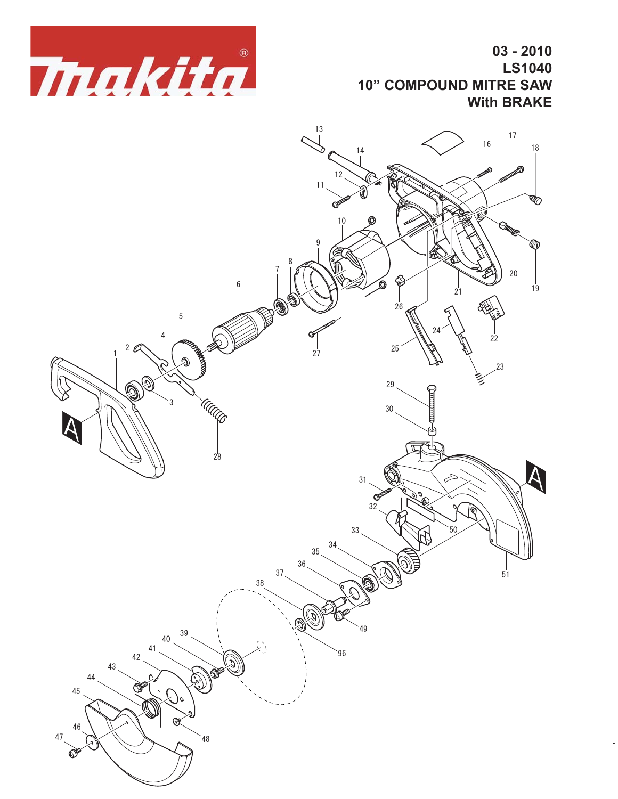

**03 - 2010 LS1040 10" COMPOUND MITRE SAW With BRAKE**

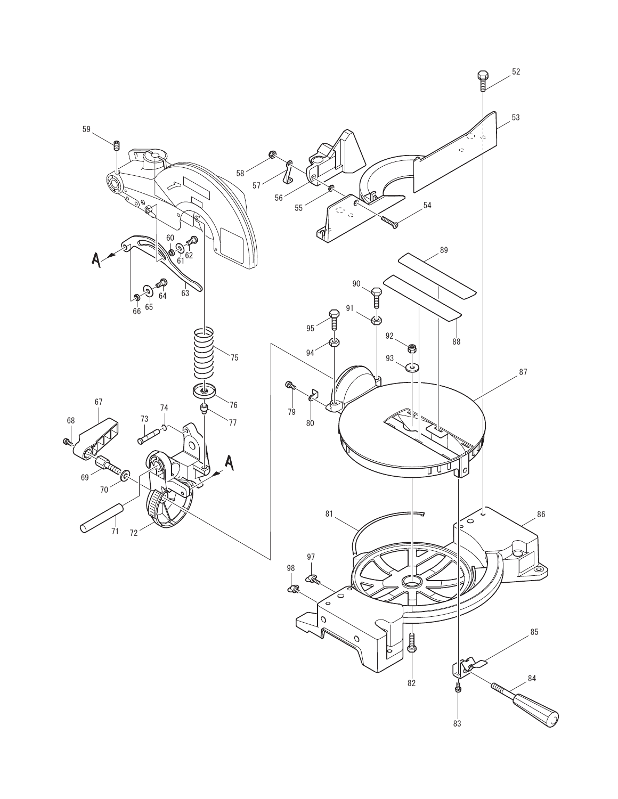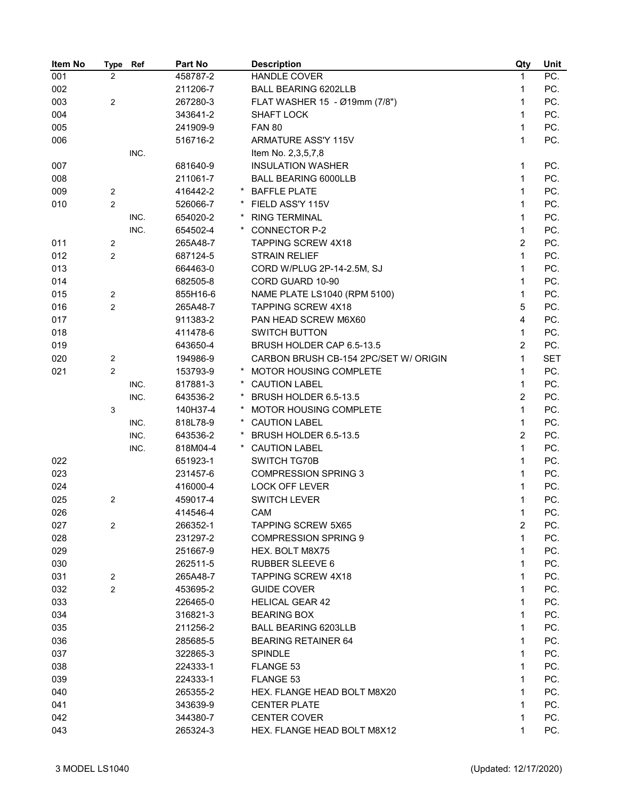| Item No    | Type Ref       |      | Part No  | <b>Description</b>                    | Qty            | Unit       |
|------------|----------------|------|----------|---------------------------------------|----------------|------------|
| 001        | $\overline{2}$ |      | 458787-2 | HANDLE COVER                          | 1              | PC.        |
| 002        |                |      | 211206-7 | <b>BALL BEARING 6202LLB</b>           | 1              | PC.        |
| 003        | $\mathbf{2}$   |      | 267280-3 | FLAT WASHER 15 - Ø19mm (7/8")         | 1              | PC.        |
| 004        |                |      | 343641-2 | <b>SHAFT LOCK</b>                     | 1              | PC.        |
| 005        |                |      | 241909-9 | <b>FAN 80</b>                         | 1              | PC.        |
| 006        |                |      | 516716-2 | ARMATURE ASS'Y 115V                   | 1              | PC.        |
|            |                | INC. |          | Item No. 2,3,5,7,8                    |                |            |
| 007        |                |      | 681640-9 | <b>INSULATION WASHER</b>              | 1              | PC.        |
| 008        |                |      | 211061-7 | <b>BALL BEARING 6000LLB</b>           | 1              | PC.        |
| 009        | $\overline{2}$ |      | 416442-2 | <b>BAFFLE PLATE</b>                   | 1              | PC.        |
| 010        | $\mathbf{2}$   |      | 526066-7 | FIELD ASS'Y 115V                      | 1              | PC.        |
|            |                | INC. | 654020-2 | <b>RING TERMINAL</b>                  | 1              | PC.        |
|            |                | INC. | 654502-4 | <b>CONNECTOR P-2</b>                  | 1              | PC.        |
| 011        | $\overline{c}$ |      | 265A48-7 | <b>TAPPING SCREW 4X18</b>             | $\overline{2}$ | PC.        |
| 012        | 2              |      | 687124-5 | <b>STRAIN RELIEF</b>                  | $\mathbf{1}$   | PC.        |
| 013        |                |      | 664463-0 | CORD W/PLUG 2P-14-2.5M, SJ            | 1              | PC.        |
| 014        |                |      | 682505-8 | CORD GUARD 10-90                      | 1              | PC.        |
| 015        | 2              |      | 855H16-6 | NAME PLATE LS1040 (RPM 5100)          | 1              | PC.        |
| 016        | $\overline{2}$ |      | 265A48-7 | <b>TAPPING SCREW 4X18</b>             | 5              | PC.        |
| 017        |                |      | 911383-2 | PAN HEAD SCREW M6X60                  | 4              | PC.        |
| 018        |                |      | 411478-6 | <b>SWITCH BUTTON</b>                  | 1              | PC.        |
| 019        |                |      | 643650-4 | BRUSH HOLDER CAP 6.5-13.5             | $\overline{2}$ | PC.        |
| 020        | $\overline{c}$ |      | 194986-9 | CARBON BRUSH CB-154 2PC/SET W/ ORIGIN | 1              | <b>SET</b> |
| 021        | $\overline{2}$ |      | 153793-9 | MOTOR HOUSING COMPLETE                | 1              | PC.        |
|            |                | INC. | 817881-3 | <b>CAUTION LABEL</b>                  | 1              | PC.        |
|            |                | INC. | 643536-2 | BRUSH HOLDER 6.5-13.5                 | $\overline{2}$ | PC.        |
|            | 3              |      | 140H37-4 | MOTOR HOUSING COMPLETE                | 1              | PC.        |
|            |                | INC. | 818L78-9 | <b>CAUTION LABEL</b>                  | 1              | PC.        |
|            |                | INC. | 643536-2 | BRUSH HOLDER 6.5-13.5                 | $\overline{2}$ | PC.        |
|            |                | INC. | 818M04-4 | <b>CAUTION LABEL</b>                  | 1              | PC.        |
| 022        |                |      | 651923-1 | SWITCH TG70B                          | 1              | PC.        |
| 023        |                |      | 231457-6 | <b>COMPRESSION SPRING 3</b>           | 1              | PC.        |
| 024        |                |      | 416000-4 | <b>LOCK OFF LEVER</b>                 | 1              | PC.        |
| 025        | $\overline{2}$ |      | 459017-4 | <b>SWITCH LEVER</b>                   | 1              | PC.        |
| 026        |                |      | 414546-4 | CAM                                   | 1              | PC.        |
| 027        | 2              |      | 266352-1 | <b>TAPPING SCREW 5X65</b>             | 2              | PC.        |
| 028        |                |      | 231297-2 | <b>COMPRESSION SPRING 9</b>           | 1              | PC.        |
| 029        |                |      | 251667-9 | HEX. BOLT M8X75                       | 1              | PC.        |
| 030        |                |      | 262511-5 | <b>RUBBER SLEEVE 6</b>                | 1              | PC.        |
| 031        | $\overline{c}$ |      | 265A48-7 | <b>TAPPING SCREW 4X18</b>             | 1              | PC.        |
| 032        | $\overline{2}$ |      | 453695-2 | <b>GUIDE COVER</b>                    | 1              | PC.        |
| 033        |                |      | 226465-0 | <b>HELICAL GEAR 42</b>                | 1              | PC.        |
| 034        |                |      | 316821-3 | <b>BEARING BOX</b>                    | 1              | PC.        |
| 035        |                |      | 211256-2 | <b>BALL BEARING 6203LLB</b>           | 1              | PC.        |
| 036        |                |      | 285685-5 | <b>BEARING RETAINER 64</b>            | 1              | PC.        |
| 037        |                |      | 322865-3 | <b>SPINDLE</b>                        | 1              | PC.        |
| 038        |                |      | 224333-1 | FLANGE 53                             | 1              | PC.        |
| 039        |                |      | 224333-1 | FLANGE 53                             | 1              | PC.        |
|            |                |      | 265355-2 | HEX. FLANGE HEAD BOLT M8X20           | 1              | PC.        |
| 040<br>041 |                |      | 343639-9 | <b>CENTER PLATE</b>                   | 1              | PC.        |
| 042        |                |      | 344380-7 | <b>CENTER COVER</b>                   |                | PC.        |
|            |                |      |          | HEX. FLANGE HEAD BOLT M8X12           | 1              | PC.        |
| 043        |                |      | 265324-3 |                                       | 1              |            |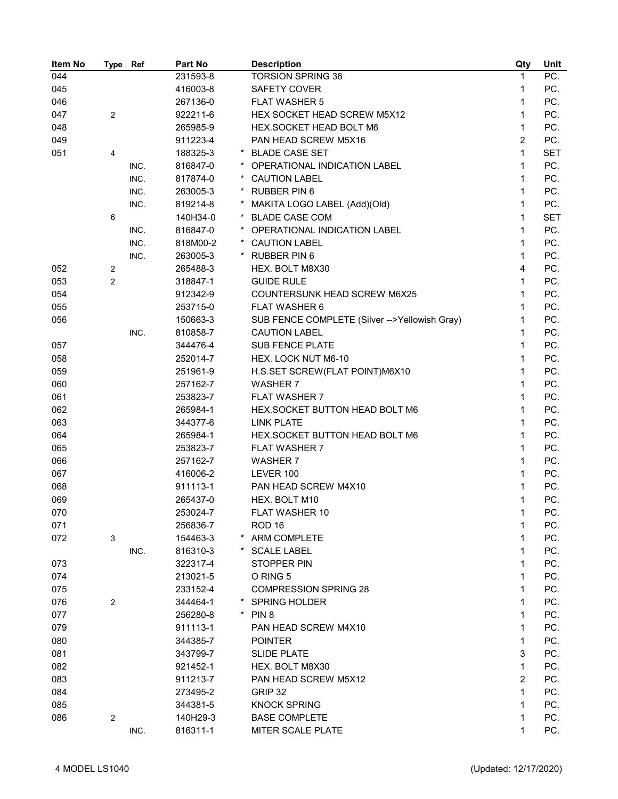| Item No | Type Ref       |      | Part No  |         | <b>Description</b>                            | Qty            | Unit       |
|---------|----------------|------|----------|---------|-----------------------------------------------|----------------|------------|
| 044     |                |      | 231593-8 |         | <b>TORSION SPRING 36</b>                      | 1              | PC.        |
| 045     |                |      | 416003-8 |         | SAFETY COVER                                  | 1              | PC.        |
| 046     |                |      | 267136-0 |         | <b>FLAT WASHER 5</b>                          | 1              | PC.        |
| 047     | $\overline{2}$ |      | 922211-6 |         | HEX SOCKET HEAD SCREW M5X12                   | 1              | PC.        |
| 048     |                |      | 265985-9 |         | HEX.SOCKET HEAD BOLT M6                       | 1              | PC.        |
| 049     |                |      | 911223-4 |         | PAN HEAD SCREW M5X16                          | $\overline{2}$ | PC.        |
| 051     | 4              |      | 188325-3 | $\star$ | <b>BLADE CASE SET</b>                         | 1              | <b>SET</b> |
|         |                | INC. | 816847-0 |         | OPERATIONAL INDICATION LABEL                  | 1              | PC.        |
|         |                | INC. | 817874-0 |         | <b>CAUTION LABEL</b>                          | 1              | PC.        |
|         |                | INC. | 263005-3 |         | <b>RUBBER PIN 6</b>                           | 1              | PC.        |
|         |                | INC. | 819214-8 |         | MAKITA LOGO LABEL (Add)(Old)                  | 1              | PC.        |
|         | 6              |      | 140H34-0 | $\ast$  | <b>BLADE CASE COM</b>                         | 1              | <b>SET</b> |
|         |                | INC. | 816847-0 |         | OPERATIONAL INDICATION LABEL                  | 1              | PC.        |
|         |                | INC. | 818M00-2 |         | <b>CAUTION LABEL</b>                          | 1              | PC.        |
|         |                | INC. | 263005-3 |         | * RUBBER PIN 6                                | 1              | PC.        |
| 052     | $\overline{2}$ |      | 265488-3 |         | HEX. BOLT M8X30                               | 4              | PC.        |
| 053     | $\overline{2}$ |      | 318847-1 |         | <b>GUIDE RULE</b>                             | 1              | PC.        |
| 054     |                |      | 912342-9 |         | COUNTERSUNK HEAD SCREW M6X25                  | 1              | PC.        |
| 055     |                |      | 253715-0 |         | <b>FLAT WASHER 6</b>                          | 1              | PC.        |
| 056     |                |      | 150663-3 |         | SUB FENCE COMPLETE (Silver -->Yellowish Gray) | 1              | PC.        |
|         |                | INC. | 810858-7 |         | <b>CAUTION LABEL</b>                          | 1              | PC.        |
| 057     |                |      | 344476-4 |         | <b>SUB FENCE PLATE</b>                        | 1              | PC.        |
| 058     |                |      | 252014-7 |         | HEX. LOCK NUT M6-10                           | 1              | PC.        |
| 059     |                |      | 251961-9 |         | H.S.SET SCREW(FLAT POINT)M6X10                | 1              | PC.        |
| 060     |                |      | 257162-7 |         | <b>WASHER 7</b>                               | 1              | PC.        |
| 061     |                |      | 253823-7 |         | <b>FLAT WASHER 7</b>                          | 1              | PC.        |
| 062     |                |      | 265984-1 |         | HEX.SOCKET BUTTON HEAD BOLT M6                | 1              | PC.        |
| 063     |                |      | 344377-6 |         | <b>LINK PLATE</b>                             | 1              | PC.        |
| 064     |                |      | 265984-1 |         | HEX.SOCKET BUTTON HEAD BOLT M6                | 1              | PC.        |
| 065     |                |      | 253823-7 |         | <b>FLAT WASHER 7</b>                          | 1              | PC.        |
|         |                |      |          |         |                                               |                |            |
| 066     |                |      | 257162-7 |         | <b>WASHER 7</b>                               | 1              | PC.        |
| 067     |                |      | 416006-2 |         | LEVER 100                                     | 1              | PC.        |
| 068     |                |      | 911113-1 |         | PAN HEAD SCREW M4X10                          | 1              | PC.        |
| 069     |                |      | 265437-0 |         | HEX. BOLT M10                                 | 1              | PC.        |
| 070     |                |      | 253024-7 |         | <b>FLAT WASHER 10</b>                         | 1              | PC.        |
| 071     |                |      | 256836-7 |         | ROD <sub>16</sub>                             | 1              | PC.        |
| 072     | 3              |      | 154463-3 |         | ARM COMPLETE                                  | 1              | PC.        |
|         |                | INC. | 816310-3 |         | <b>SCALE LABEL</b>                            | 1              | PC.        |
| 073     |                |      | 322317-4 |         | <b>STOPPER PIN</b>                            | 1              | PC.        |
| 074     |                |      | 213021-5 |         | O RING 5                                      | 1              | PC.        |
| 075     |                |      | 233152-4 |         | <b>COMPRESSION SPRING 28</b>                  | 1              | PC.        |
| 076     | $\overline{2}$ |      | 344464-1 |         | * SPRING HOLDER                               | 1              | PC.        |
| 077     |                |      | 256280-8 |         | $*$ PIN 8                                     | 1              | PC.        |
| 079     |                |      | 911113-1 |         | PAN HEAD SCREW M4X10                          | 1              | PC.        |
| 080     |                |      | 344385-7 |         | <b>POINTER</b>                                | 1              | PC.        |
| 081     |                |      | 343799-7 |         | <b>SLIDE PLATE</b>                            | 3              | PC.        |
| 082     |                |      | 921452-1 |         | HEX. BOLT M8X30                               | 1              | PC.        |
| 083     |                |      | 911213-7 |         | PAN HEAD SCREW M5X12                          | $\overline{2}$ | PC.        |
| 084     |                |      | 273495-2 |         | GRIP 32                                       | 1              | PC.        |
| 085     |                |      | 344381-5 |         | <b>KNOCK SPRING</b>                           | 1              | PC.        |
| 086     | $\overline{c}$ |      | 140H29-3 |         | <b>BASE COMPLETE</b>                          | 1              | PC.        |
|         |                | INC. | 816311-1 |         | MITER SCALE PLATE                             | 1              | PC.        |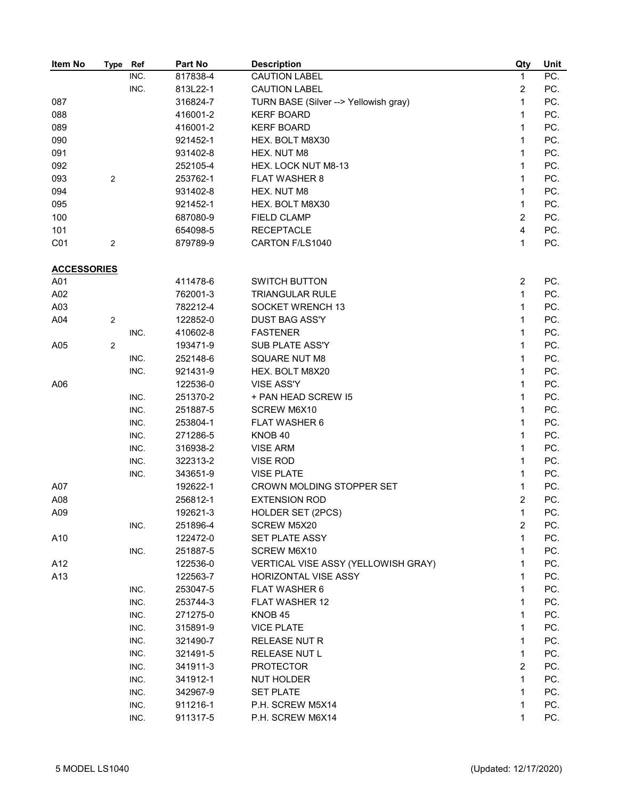| Item No            | Type         | Ref  | Part No  | <b>Description</b>                    | Qty            | Unit |
|--------------------|--------------|------|----------|---------------------------------------|----------------|------|
|                    |              | INC. | 817838-4 | <b>CAUTION LABEL</b>                  | 1              | PC.  |
|                    |              | INC. | 813L22-1 | <b>CAUTION LABEL</b>                  | $\overline{2}$ | PC.  |
| 087                |              |      | 316824-7 | TURN BASE (Silver --> Yellowish gray) | 1              | PC.  |
| 088                |              |      | 416001-2 | <b>KERF BOARD</b>                     | 1              | PC.  |
| 089                |              |      | 416001-2 | <b>KERF BOARD</b>                     | 1              | PC.  |
| 090                |              |      | 921452-1 | HEX. BOLT M8X30                       | 1              | PC.  |
| 091                |              |      | 931402-8 | HEX. NUT M8                           | 1              | PC.  |
| 092                |              |      | 252105-4 | HEX. LOCK NUT M8-13                   | 1              | PC.  |
| 093                | $\mathbf{2}$ |      | 253762-1 | <b>FLAT WASHER 8</b>                  | 1              | PC.  |
| 094                |              |      | 931402-8 | HEX. NUT M8                           | 1              | PC.  |
| 095                |              |      | 921452-1 | HEX. BOLT M8X30                       | 1              | PC.  |
| 100                |              |      | 687080-9 | <b>FIELD CLAMP</b>                    | $\overline{2}$ | PC.  |
| 101                |              |      | 654098-5 | <b>RECEPTACLE</b>                     | 4              | PC.  |
| CO <sub>1</sub>    | 2            |      | 879789-9 | CARTON F/LS1040                       | 1              | PC.  |
| <b>ACCESSORIES</b> |              |      |          |                                       |                |      |
| A01                |              |      | 411478-6 | <b>SWITCH BUTTON</b>                  | $\overline{2}$ | PC.  |
| A02                |              |      | 762001-3 | <b>TRIANGULAR RULE</b>                | 1              | PC.  |
| A03                |              |      | 782212-4 | SOCKET WRENCH 13                      | 1              | PC.  |
| A04                | 2            |      | 122852-0 | <b>DUST BAG ASS'Y</b>                 | 1              | PC.  |
|                    |              | INC. | 410602-8 | <b>FASTENER</b>                       | 1              | PC.  |
| A05                | 2            |      | 193471-9 | <b>SUB PLATE ASS'Y</b>                | 1              | PC.  |
|                    |              | INC. | 252148-6 | <b>SQUARE NUT M8</b>                  | 1              | PC.  |
|                    |              | INC. | 921431-9 | HEX. BOLT M8X20                       | 1              | PC.  |
| A06                |              |      | 122536-0 | <b>VISE ASS'Y</b>                     | 1              | PC.  |
|                    |              | INC. | 251370-2 | + PAN HEAD SCREW I5                   | 1              | PC.  |
|                    |              | INC. | 251887-5 | SCREW M6X10                           | 1              | PC.  |
|                    |              | INC. | 253804-1 | <b>FLAT WASHER 6</b>                  | 1              | PC.  |
|                    |              | INC. | 271286-5 | KNOB <sub>40</sub>                    | 1              | PC.  |
|                    |              | INC. | 316938-2 | <b>VISE ARM</b>                       | 1              | PC.  |
|                    |              | INC. | 322313-2 | <b>VISE ROD</b>                       | 1              | PC.  |
|                    |              | INC. | 343651-9 | <b>VISE PLATE</b>                     | 1              | PC.  |
| A07                |              |      | 192622-1 | CROWN MOLDING STOPPER SET             | 1              | PC.  |
| A08                |              |      | 256812-1 | <b>EXTENSION ROD</b>                  | $\overline{2}$ | PC.  |
| A09                |              |      | 192621-3 | HOLDER SET (2PCS)                     | 1              | PC.  |
|                    |              | INC. | 251896-4 | SCREW M5X20                           | $\overline{2}$ | PC.  |
| A10                |              |      | 122472-0 | SET PLATE ASSY                        | 1              | PC.  |
|                    |              | INC. | 251887-5 | SCREW M6X10                           | 1              | PC.  |
| A12                |              |      | 122536-0 | VERTICAL VISE ASSY (YELLOWISH GRAY)   | 1              | PC.  |
| A13                |              |      | 122563-7 | HORIZONTAL VISE ASSY                  | 1              | PC.  |
|                    |              | INC. | 253047-5 | <b>FLAT WASHER 6</b>                  | 1              | PC.  |
|                    |              | INC. | 253744-3 | <b>FLAT WASHER 12</b>                 | 1              | PC.  |
|                    |              | INC. | 271275-0 | KNOB <sub>45</sub>                    | 1              | PC.  |
|                    |              | INC. | 315891-9 | <b>VICE PLATE</b>                     | 1              | PC.  |
|                    |              | INC. | 321490-7 | <b>RELEASE NUT R</b>                  | 1              | PC.  |
|                    |              | INC. | 321491-5 | RELEASE NUT L                         | 1              | PC.  |
|                    |              | INC. | 341911-3 | <b>PROTECTOR</b>                      | $\overline{2}$ | PC.  |
|                    |              | INC. | 341912-1 | <b>NUT HOLDER</b>                     | 1              | PC.  |
|                    |              | INC. | 342967-9 | <b>SET PLATE</b>                      | 1              | PC.  |
|                    |              | INC. | 911216-1 | P.H. SCREW M5X14                      | 1              | PC.  |
|                    |              | INC. | 911317-5 | P.H. SCREW M6X14                      | 1              | PC.  |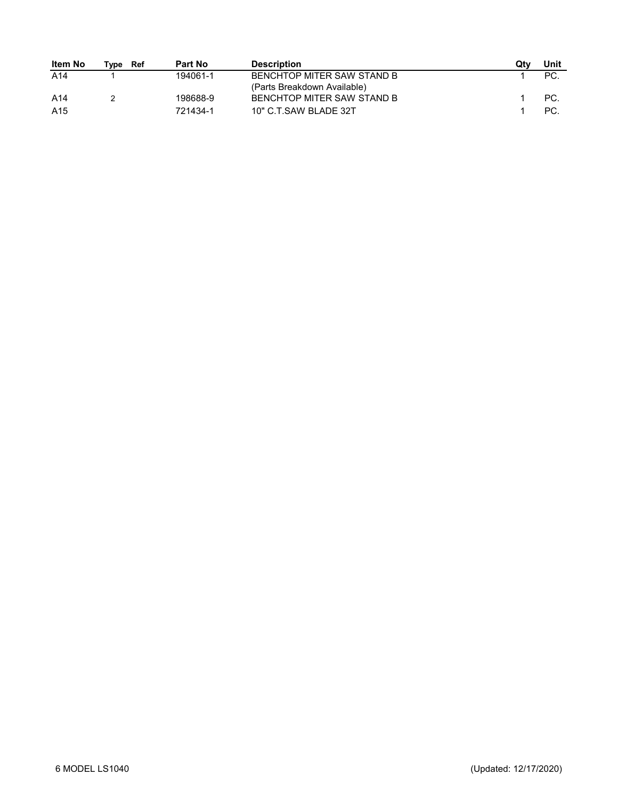| Item No | Tvpe | Ref | Part No  | <b>Description</b>          | Qtv | Unit |
|---------|------|-----|----------|-----------------------------|-----|------|
| A14     |      |     | 194061-1 | BENCHTOP MITER SAW STAND B  |     | PC.  |
|         |      |     |          | (Parts Breakdown Available) |     |      |
| A14     |      |     | 198688-9 | BENCHTOP MITER SAW STAND B  |     | PC.  |
| A15     |      |     | 721434-1 | 10" C.T.SAW BLADE 32T       |     | PC.  |